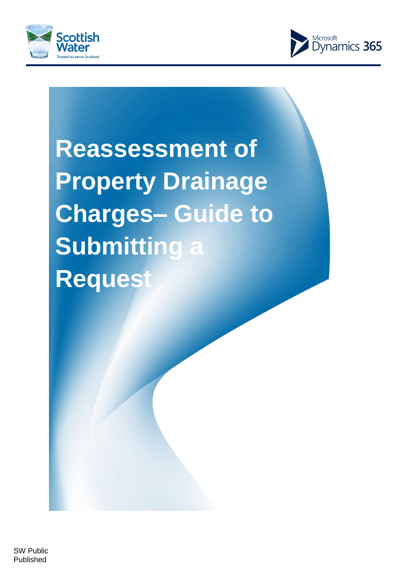



# **Reassessment of Property Drainage Charges– Guide to Submitting a Request**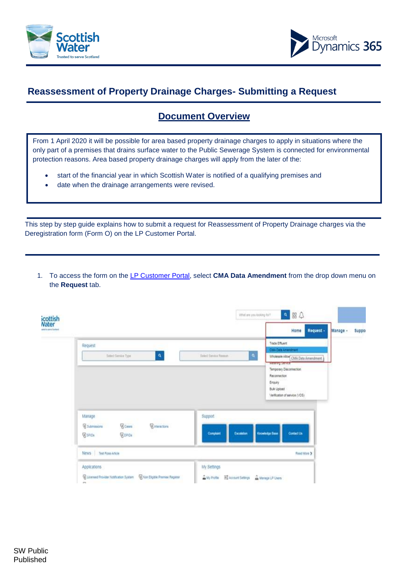



# **Reassessment of Property Drainage Charges- Submitting a Request**

## **Document Overview**

From 1 April 2020 it will be possible for area based property drainage charges to apply in situations where the only part of a premises that drains surface water to the Public Sewerage System is connected for environmental protection reasons. Area based property drainage charges will apply from the later of the:

- start of the financial year in which Scottish Water is notified of a qualifying premises and
- date when the drainage arrangements were revised.

This step by step guide explains how to submit a request for Reassessment of Property Drainage charges via the Deregistration form (Form O) on the LP Customer Portal.

1. To access the form on the [LP Customer Portal, s](https://swcustomerportal.microsoftcrmportals.com/SignIn)elect **CMA Data Amendment** from the drop down menu on the **Request** tab.

| icottish<br>Nater<br>said to send looked |                                                                                                                                       |                                                                       | Request -<br>Home                                                                                                                                          | Manage -<br>Suppo |
|------------------------------------------|---------------------------------------------------------------------------------------------------------------------------------------|-----------------------------------------------------------------------|------------------------------------------------------------------------------------------------------------------------------------------------------------|-------------------|
|                                          | Request<br>$\mathbf{a}$<br>Select Service Type                                                                                        | $\mathfrak{a}$<br>Select Service Reason                               | Trade Efficent<br><b>CMA Data Ameridment</b><br>Wholesale Allow CIAA Data Amendmant<br><b>Mediting Stereott</b><br>Temporary Disconnection<br>Reconnection |                   |
|                                          |                                                                                                                                       |                                                                       | Enquiry<br><b>Bulk Upload</b><br>Verification of service (VOS)                                                                                             |                   |
|                                          | Manage<br><b>Scales</b><br><b><i><u>Birteractions</u></i></b><br><b><i><u>R</u></i></b> Submissions<br><b>BOPIDA</b><br><b>WSPIDE</b> | Support<br>Complaint<br>Escalation                                    | Contact Lis<br><b>Knowledge Base</b>                                                                                                                       |                   |
|                                          | News Test Ross Article                                                                                                                |                                                                       | Read More 3                                                                                                                                                |                   |
|                                          | Applications<br><b>Chin Elgible Premise Register</b><br>C Licensed Provider Notification System<br><b>COL</b>                         | My Settings<br>as My Profile<br>To Account Settings A Manage LP Users |                                                                                                                                                            |                   |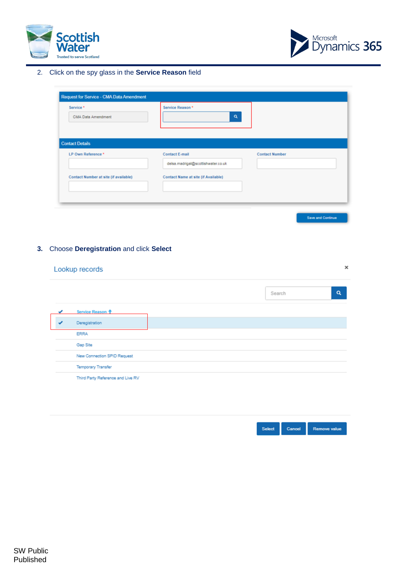



Save and Continue

2. Click on the spy glass in the **Service Reason** field

| Service <sup>*</sup>                  | Service Reason *                    |                       |
|---------------------------------------|-------------------------------------|-----------------------|
| CMA Data Amendment                    | Q                                   |                       |
|                                       |                                     |                       |
| <b>Contact Details</b>                |                                     |                       |
| LP Own Reference *                    | <b>Contact E-mail</b>               | <b>Contact Number</b> |
|                                       | delsa.madrigal@scottishwater.co.uk  |                       |
| Contact Number at site (if available) | Contact Name at site (if Available) |                       |
|                                       |                                     |                       |
|                                       |                                     |                       |

## **3.** Choose **Deregistration** and click **Select**

|  | Lookup records                    |  |        | × |
|--|-----------------------------------|--|--------|---|
|  |                                   |  | Search | Q |
|  | Service Reason +                  |  |        |   |
|  | Deregistration                    |  |        |   |
|  | <b>ERRA</b>                       |  |        |   |
|  | Gap Site                          |  |        |   |
|  | New Connection SPID Request       |  |        |   |
|  | <b>Temporary Transfer</b>         |  |        |   |
|  | Third Party Reference and Live RV |  |        |   |
|  |                                   |  |        |   |

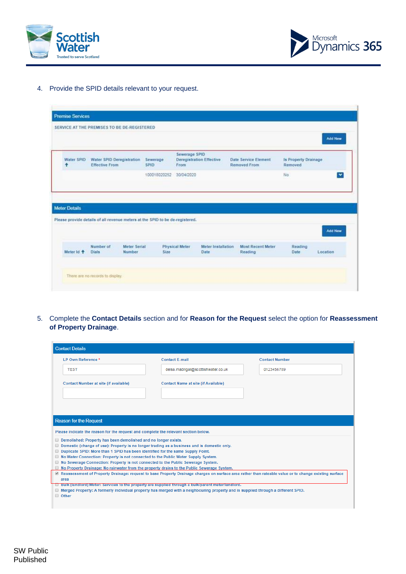



4. Provide the SPID details relevant to your request.

|                      |                                                    |                                                                               |                         |                                 |                                                    |                                        | Add New      |
|----------------------|----------------------------------------------------|-------------------------------------------------------------------------------|-------------------------|---------------------------------|----------------------------------------------------|----------------------------------------|--------------|
| Water SPID<br>٠      | Water SPID Deregistration<br><b>Effective From</b> | Sewerage<br><b>SPID</b>                                                       | Sewerage SPID<br>From   | <b>Deregistration Effective</b> | <b>Date Service Element</b><br><b>Removed From</b> | <b>Is Property Drainage</b><br>Removed |              |
|                      |                                                    |                                                                               | 100018020252 30/04/2020 |                                 |                                                    | No <sup>1</sup>                        | $\mathbf{v}$ |
|                      |                                                    |                                                                               |                         |                                 |                                                    |                                        |              |
| <b>Meter Details</b> |                                                    | Please provide details of all revenue meters at the SPID to be de-registered. |                         |                                 |                                                    |                                        | Add New      |

5. Complete the **Contact Details** section and for **Reason for the Request** select the option for **Reassessment of Property Drainage**.

| <b>Contact Details</b>                                                                                                                                                                                                                                  |                                                                                                                                                         |                       |
|---------------------------------------------------------------------------------------------------------------------------------------------------------------------------------------------------------------------------------------------------------|---------------------------------------------------------------------------------------------------------------------------------------------------------|-----------------------|
| LP Own Reference *                                                                                                                                                                                                                                      | <b>Contact E-mail</b>                                                                                                                                   | <b>Contact Number</b> |
| <b>TEST</b>                                                                                                                                                                                                                                             | delsa.madrigal@scottishwater.co.uk                                                                                                                      | 0123456789            |
| Contact Number at site (if available)                                                                                                                                                                                                                   | <b>Contact Name at site (if Available)</b>                                                                                                              |                       |
|                                                                                                                                                                                                                                                         |                                                                                                                                                         |                       |
| <b>Reason for the Request</b>                                                                                                                                                                                                                           |                                                                                                                                                         |                       |
| Please indicate the reason for the request and complete the relevant section below.                                                                                                                                                                     |                                                                                                                                                         |                       |
| <b>Demolished: Property has been demolished and no longer exists.</b><br>Domestic (change of use): Property is no longer trading as a business and is domestic only.<br>Duplicate SPID: More than 1 SPID has been identified for the same Supply Point. |                                                                                                                                                         |                       |
| ■ No Water Connection: Property is not connected to the Public Water Supply System.<br>No Sewerage Connection: Property is not connected to the Public Sewerage System.                                                                                 |                                                                                                                                                         |                       |
| No Property Drainage: No rainwater from the property drains to the Public Sewerage System.                                                                                                                                                              |                                                                                                                                                         |                       |
| area                                                                                                                                                                                                                                                    | Z Reassessment of Property Drainage: request to base Property Drainage charges on surface area rather than rateable value or to change existing surface |                       |
|                                                                                                                                                                                                                                                         | <b>Bulk (landlord) Meter: Services to the property are supplied through a bulk/parent meter/landlord.</b>                                               |                       |
| $\Box$ Other                                                                                                                                                                                                                                            | <b>ID</b> Merged Property: A formerly individual property has merged with a neighbouring property and is supplied through a different SPID.             |                       |
|                                                                                                                                                                                                                                                         |                                                                                                                                                         |                       |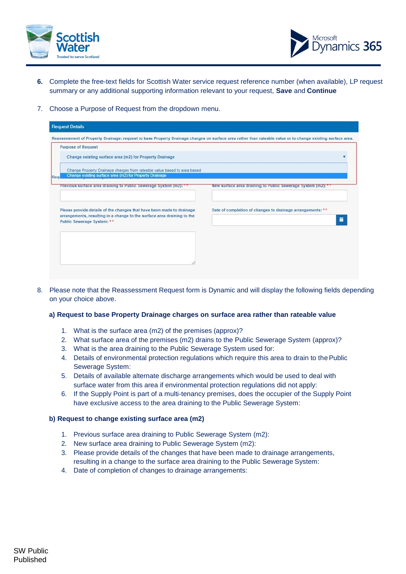



- **6.** Complete the free-text fields for Scottish Water service request reference number (when available), LP request summary or any additional supporting information relevant to your request, **Save** and **Continue**
- 7. Choose a Purpose of Request from the dropdown menu.

| Reassessment of Property Drainage: request to base Property Drainage charges on surface area rather than rateable value or to change existing surface area. |
|-------------------------------------------------------------------------------------------------------------------------------------------------------------|
|                                                                                                                                                             |
|                                                                                                                                                             |
| Change Property Drainage charges from rateable value based to area based                                                                                    |
| New surface area draining to Public Sewerage System (m2): *                                                                                                 |
| Date of completion of changes to drainage arrangements: **<br>Ħ                                                                                             |
|                                                                                                                                                             |
|                                                                                                                                                             |
|                                                                                                                                                             |
|                                                                                                                                                             |

8. Please note that the Reassessment Request form is Dynamic and will display the following fields depending on your choice above.

#### **a) Request to base Property Drainage charges on surface area rather than rateable value**

- 1. What is the surface area (m2) of the premises (approx)?
- 2. What surface area of the premises (m2) drains to the Public Sewerage System (approx)?
- 3. What is the area draining to the Public Sewerage System used for:
- 4. Details of environmental protection regulations which require this area to drain to thePublic Sewerage System:
- 5. Details of available alternate discharge arrangements which would be used to deal with surface water from this area if environmental protection regulations did not apply:
- 6. If the Supply Point is part of a multi-tenancy premises, does the occupier of the Supply Point have exclusive access to the area draining to the Public Sewerage System:

### **b) Request to change existing surface area (m2)**

- 1. Previous surface area draining to Public Sewerage System (m2):
- 2. New surface area draining to Public Sewerage System (m2):
- 3. Please provide details of the changes that have been made to drainage arrangements, resulting in a change to the surface area draining to the Public Sewerage System:
- 4. Date of completion of changes to drainage arrangements: